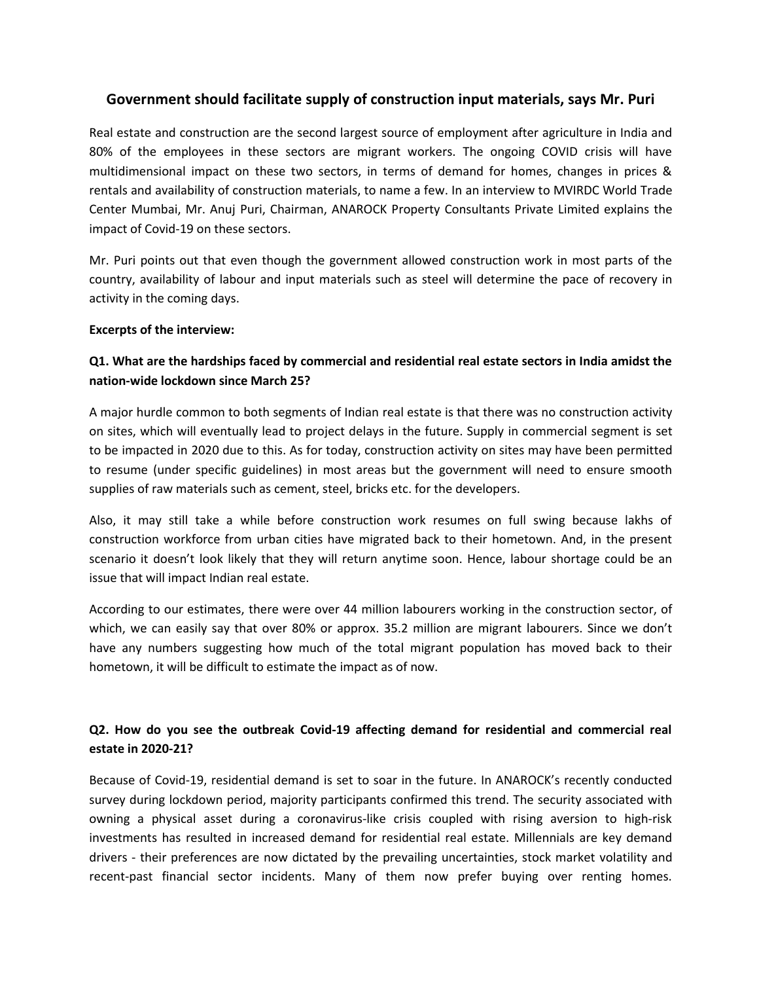## **Government should facilitate supply of construction input materials, says Mr. Puri**

Real estate and construction are the second largest source of employment after agriculture in India and 80% of the employees in these sectors are migrant workers. The ongoing COVID crisis will have multidimensional impact on these two sectors, in terms of demand for homes, changes in prices & rentals and availability of construction materials, to name a few. In an interview to MVIRDC World Trade Center Mumbai, Mr. Anuj Puri, Chairman, ANAROCK Property Consultants Private Limited explains the impact of Covid-19 on these sectors.

Mr. Puri points out that even though the government allowed construction work in most parts of the country, availability of labour and input materials such as steel will determine the pace of recovery in activity in the coming days.

### **Excerpts of the interview:**

# **Q1. What are the hardships faced bycommercial and residential real estate sectors in India amidst the nation-wide lockdown since March 25?**

A major hurdle common to both segments of Indian real estate is that there was no construction activity on sites, which will eventually lead to project delays in the future. Supply in commercial segment is set to be impacted in 2020 due to this. As for today, construction activity on sites may have been permitted to resume (under specific guidelines) in most areas but the government will need to ensure smooth supplies of raw materials such as cement, steel, bricks etc. for the developers.

Also, it may still take a while before construction work resumes on full swing because lakhs of construction workforce from urban cities have migrated back to their hometown. And, in the present scenario it doesn't look likely that they will return anytime soon. Hence, labour shortage could be an issue that will impact Indian real estate.

According to our estimates, there were over 44 million labourers working in the construction sector, of which, we can easily say that over 80% or approx. 35.2 million are migrant labourers. Since we don't have any numbers suggesting how much of the total migrant population has moved back to their hometown, it will be difficult to estimate the impact as of now.

## **Q2. How do you see the outbreak Covid-19 affecting demand for residential and commercial real estate in 2020-21?**

Because of Covid-19, residential demand is set to soar in the future. In ANAROCK's recently conducted survey during lockdown period, majority participants confirmed this trend. The security associated with owning a physical asset during a coronavirus-like crisis coupled with rising aversion to high-risk investments has resulted in increased demand for residential real estate. Millennials are key demand drivers - their preferences are now dictated by the prevailing uncertainties, stock market volatility and recent-past financial sector incidents. Many of them now prefer buying over renting homes.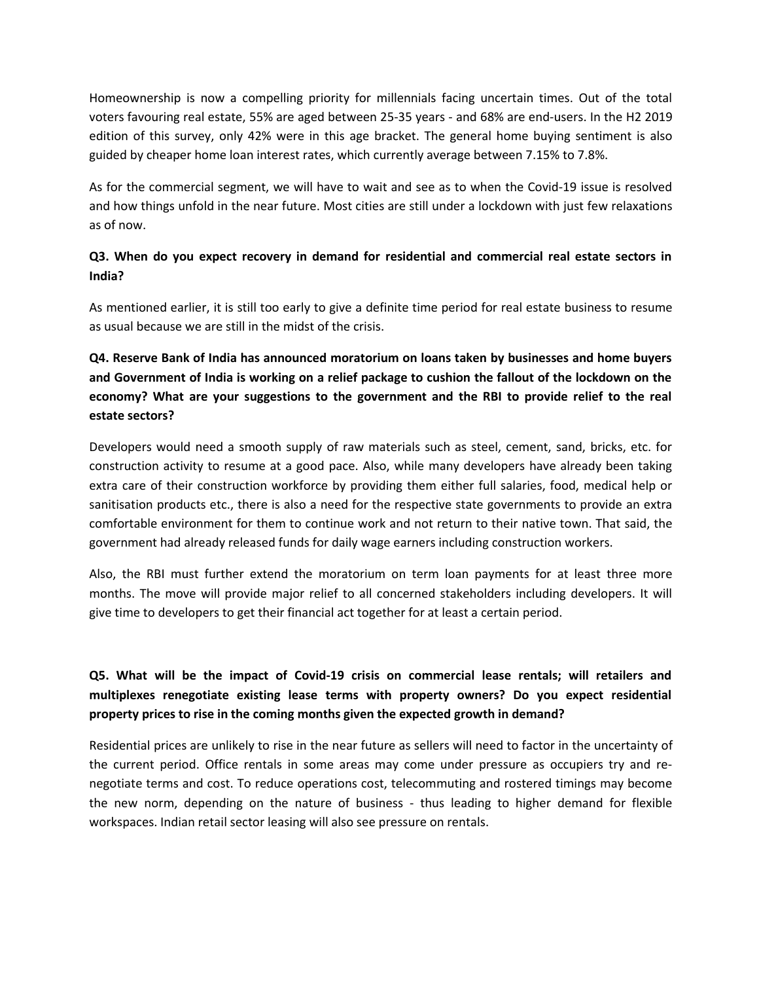Homeownership is now a compelling priority for millennials facing uncertain times. Out of the total voters favouring real estate, 55% are aged between 25-35 years - and 68% are end-users. In the H2 2019 edition of this survey, only 42% were in this age bracket. The general home buying sentiment is also guided by cheaper home loan interest rates, which currently average between 7.15% to 7.8%.

As for the commercial segment, we will have to wait and see as to when the Covid-19 issue is resolved and how things unfold in the near future. Most cities are still under a lockdown with just few relaxations as of now.

## **Q3. When do you expect recovery in demand for residential and commercial real estate sectors in India?**

As mentioned earlier, it is still too early to give a definite time period for real estate business to resume as usual because we are still in the midst of the crisis.

# **Q4. Reserve Bank of India has announced moratorium on loans taken by businesses and home buyers** and Government of India is working on a relief package to cushion the fallout of the lockdown on the **economy? What are your suggestions to the government and the RBI to provide relief to the real estate sectors?**

Developers would need a smooth supply of raw materials such as steel, cement, sand, bricks, etc. for construction activity to resume at a good pace. Also, while many developers have already been taking extra care of their construction workforce by providing them either full salaries, food, medical help or sanitisation products etc., there is also a need for the respective state governments to provide an extra comfortable environment for them to continue work and not return to their native town. That said, the government had already released funds for daily wage earners including construction workers.

Also, the RBI must further extend the moratorium on term loan payments for at least three more months. The move will provide major relief to all concerned stakeholders including developers. It will give time to developers to get their financial act together for at least a certain period.

# **Q5. What will be the impact of Covid-19 crisis on commercial lease rentals; will retailers and multiplexes renegotiate existing lease terms with property owners? Do you expect residential property prices to rise in the coming months given the expected growth in demand?**

Residential prices are unlikely to rise in the near future as sellers will need to factor in the uncertainty of the current period. Office rentals in some areas may come under pressure as occupiers try and renegotiate terms and cost. To reduce operations cost, telecommuting and rostered timings may become the new norm, depending on the nature of business - thus leading to higher demand for flexible workspaces. Indian retail sector leasing will also see pressure on rentals.